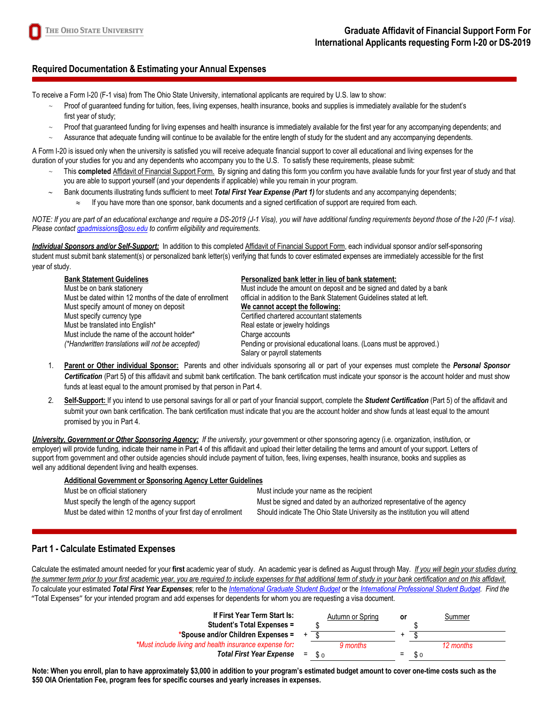# **Required Documentation & Estimating your Annual Expenses**

To receive a Form I-20 (F-1 visa) from The Ohio State University, international applicants are required by U.S. law to show:

- Proof of guaranteed funding for tuition, fees, living expenses, health insurance, books and supplies is immediately available for the student's first year of study;
- Proof that guaranteed funding for living expenses and health insurance is immediately available for the first year for any accompanying dependents; and
- Assurance that adequate funding will continue to be available for the entire length of study for the student and any accompanying dependents.

A Form I-20 is issued only when the university is satisfied you will receive adequate financial support to cover all educational and living expenses for the duration of your studies for you and any dependents who accompany you to the U.S. To satisfy these requirements, please submit:

- This completed Affidavit of Financial Support Form. By signing and dating this form you confirm you have available funds for your first year of study and that you are able to support yourself (and your dependents if applicable) while you remain in your program.
	- ∼ Bank documents illustrating funds sufficient to meet *Total First Year Expense (Part 1)* for students and any accompanying dependents; If you have more than one sponsor, bank documents and a signed certification of support are required from each.

*NOTE: If you are part of an educational exchange and require a DS-2019 (J-1 Visa), you will have additional funding requirements beyond those of the I-20 (F-1 visa). Please contac[t gpadmissions@osu.edu](mailto:gpadmissions@osu.edu) to confirm eligibility and requirements.*

*Individual Sponsors and/or Self-Support:* In addition to this completed Affidavit of Financial Support Form, each individual sponsor and/or self-sponsoring student must submit bank statement(s) or personalized bank letter(s) verifying that funds to cover estimated expenses are immediately accessible for the first year of study.

| <b>Bank Statement Guidelines</b>                         | Personalized bank letter in lieu of bank statement:                                                 |
|----------------------------------------------------------|-----------------------------------------------------------------------------------------------------|
| Must be on bank stationery                               | Must include the amount on deposit and be signed and dated by a bank                                |
| Must be dated within 12 months of the date of enrollment | official in addition to the Bank Statement Guidelines stated at left.                               |
| Must specify amount of money on deposit                  | We cannot accept the following:                                                                     |
| Must specify currency type                               | Certified chartered accountant statements                                                           |
| Must be translated into English*                         | Real estate or jewelry holdings                                                                     |
| Must include the name of the account holder*             | Charge accounts                                                                                     |
| (*Handwritten translations will not be accepted)         | Pending or provisional educational loans. (Loans must be approved.)<br>Salary or payroll statements |

- 1. **Parent or Other individual Sponsor:** Parents and other individuals sponsoring all or part of your expenses must complete the *Personal Sponsor Certification* (Part 5**)** of this affidavit and submit bank certification. The bank certification must indicate your sponsor is the account holder and must show funds at least equal to the amount promised by that person in Part 4.
- 2. **Self-Support:** If you intend to use personal savings for all or part of your financial support, complete the *Student Certification* (Part 5) of the affidavit and submit your own bank certification. The bank certification must indicate that you are the account holder and show funds at least equal to the amount promised by you in Part 4.

*University, Government or Other Sponsoring Agency: If the university, your* government or other sponsoring agency (i.e. organization, institution, or employer) will provide funding, indicate their name in Part 4 of this affidavit and upload their letter detailing the terms and amount of your support. Letters of support from government and other outside agencies should include payment of tuition, fees, living expenses, health insurance, books and supplies as well any additional dependent living and health expenses.

| <b>Additional Government or Sponsoring Agency Letter Guidelines</b> |                                                                              |
|---------------------------------------------------------------------|------------------------------------------------------------------------------|
| Must be on official stationery                                      | Must include your name as the recipient                                      |
| Must specify the length of the agency support                       | Must be signed and dated by an authorized representative of the agency       |
| Must be dated within 12 months of your first day of enrollment      | Should indicate The Ohio State University as the institution you will attend |

## **Part 1 - Calculate Estimated Expenses**

 Calculate the estimated amount needed for your **first** academic year of study. An academic year is defined as August through May. *If you will begin your studies during*  the summer term prior to your first academic year, you are required to include expenses for that additional term of study in your bank certification and on this affidavit.  *To* calculate your estimated *Total First Year Expenses*; refer to the *[International Graduate Student Budget](https://gpadmissions.osu.edu/pdf/gbud.pdf)* or the *[International Professional Student Budget.](https://gpadmissions.osu.edu/pdf/pbud.pdf) Find the* "Total Expenses" for your intended program and add expenses for dependents for whom you are requesting a visa document.

| If First Year Term Start Is:<br>Student's Total Expenses = |     |            | Autumn or Spring | or |     | Summer    |
|------------------------------------------------------------|-----|------------|------------------|----|-----|-----------|
| *Spouse and/or Children Expenses =                         |     |            |                  |    |     |           |
| *Must include living and health insurance expense for:     |     |            | 9 months         |    |     | 12 months |
| <b>Total First Year Expense</b>                            | $=$ | <b>\$ი</b> |                  | -  | \$0 |           |

**Note: When you enroll, plan to have approximately \$3,000 in addition to your program's estimated budget amount to cover one-time costs such as the \$50 OIA Orientation Fee, program fees for specific courses and yearly increases in expenses.**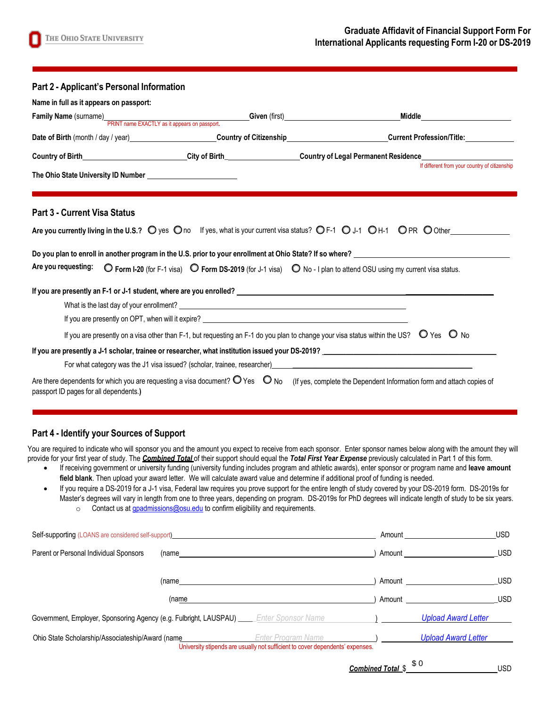| Part 2 - Applicant's Personal Information                                                                                                                                                                                                                                                                                                                                                                           |                                                                                                                                                                                                                                |                                                                                                                                                         |                                               |
|---------------------------------------------------------------------------------------------------------------------------------------------------------------------------------------------------------------------------------------------------------------------------------------------------------------------------------------------------------------------------------------------------------------------|--------------------------------------------------------------------------------------------------------------------------------------------------------------------------------------------------------------------------------|---------------------------------------------------------------------------------------------------------------------------------------------------------|-----------------------------------------------|
| Name in full as it appears on passport:                                                                                                                                                                                                                                                                                                                                                                             |                                                                                                                                                                                                                                |                                                                                                                                                         |                                               |
| Family Name (surname)<br>PRINT name EXACTLY as it appears on passport.<br>Civen (first) Contact of the SACTLY as it appears on passport.                                                                                                                                                                                                                                                                            |                                                                                                                                                                                                                                |                                                                                                                                                         |                                               |
| Date of Birth (month / day / year)<br>Country of Citizenship Current Profession/Title: Current Profession Title:                                                                                                                                                                                                                                                                                                    |                                                                                                                                                                                                                                |                                                                                                                                                         |                                               |
| Country of Birth________________________City of Birth__________________Country of Legal Permanent Residence____________________________                                                                                                                                                                                                                                                                             |                                                                                                                                                                                                                                |                                                                                                                                                         |                                               |
|                                                                                                                                                                                                                                                                                                                                                                                                                     |                                                                                                                                                                                                                                |                                                                                                                                                         | If different from your country of citizenship |
| <b>Part 3 - Current Visa Status</b><br>Are you currently living in the U.S.? O yes Ono If yes, what is your current visa status? OF-1 OJ-1 OH-1 OPR OOther<br>Do you plan to enroll in another program in the U.S. prior to your enrollment at Ohio State? If so where? University of the state of the state of the state of the state of the state of the state of the state of the state o<br>Are you requesting: |                                                                                                                                                                                                                                | ◯ Form I-20 (for F-1 visa) ◯ Form DS-2019 (for J-1 visa) ◯ No - I plan to attend OSU using my current visa status.                                      |                                               |
|                                                                                                                                                                                                                                                                                                                                                                                                                     |                                                                                                                                                                                                                                |                                                                                                                                                         |                                               |
|                                                                                                                                                                                                                                                                                                                                                                                                                     | If you are presently on OPT, when will it expire? The contract of the contract of the contract of the contract of the contract of the contract of the contract of the contract of the contract of the contract of the contract |                                                                                                                                                         |                                               |
|                                                                                                                                                                                                                                                                                                                                                                                                                     |                                                                                                                                                                                                                                | If you are presently on a visa other than F-1, but requesting an F-1 do you plan to change your visa status within the US? $\bigcirc$ Yes $\bigcirc$ No |                                               |
| If you are presently a J-1 scholar, trainee or researcher, what institution issued your DS-2019? Letterman and the state of the state of the state of the state of the state of the state of the state of the state of the sta                                                                                                                                                                                      |                                                                                                                                                                                                                                |                                                                                                                                                         |                                               |
|                                                                                                                                                                                                                                                                                                                                                                                                                     |                                                                                                                                                                                                                                |                                                                                                                                                         |                                               |
| Are there dependents for which you are requesting a visa document? $\bigcirc$ Yes $\bigcirc$ No<br>passport ID pages for all dependents.)                                                                                                                                                                                                                                                                           |                                                                                                                                                                                                                                | (If yes, complete the Dependent Information form and attach copies of                                                                                   |                                               |

#### **Part 4 - Identify your Sources of Support**

You are required to indicate who will sponsor you and the amount you expect to receive from each sponsor. Enter sponsor names below along with the amount they will provide for your first year of study. The *Combined Total* of their support should equal the *Total First Year Expense* previously calculated in Part 1 of this form.

- If receiving government or university funding (university funding includes program and athletic awards), enter sponsor or program name and **leave amount**  field blank. Then upload your award letter. We will calculate award value and determine if additional proof of funding is needed.
- If you require a DS-2019 for a J-1 visa, Federal law requires you prove support for the entire length of study covered by your DS-2019 form. DS-2019s for Master's degrees will vary in length from one to three years, depending on program. DS-2019s for PhD degrees will indicate length of study to be six years.
	- o Contact us a[t gpadmissions@osu.edu](mailto:gpadmissions@osu.edu) to confirm eligibility and requirements.

| Self-supporting (LOANS are considered self-support)                                        |                                                                                                     | Amount | <b>USD</b>                 |
|--------------------------------------------------------------------------------------------|-----------------------------------------------------------------------------------------------------|--------|----------------------------|
| Parent or Personal Individual Sponsors<br>(name                                            |                                                                                                     | Amount | <b>USD</b>                 |
| (name                                                                                      |                                                                                                     | Amount | <b>USD</b>                 |
| (name                                                                                      |                                                                                                     | Amount | <b>USD</b>                 |
| Government, Employer, Sponsoring Agency (e.g. Fulbright, LAUSPAU) _____ Enter Sponsor Name |                                                                                                     |        | <b>Upload Award Letter</b> |
| Ohio State Scholarship/Associateship/Award (name                                           | Enter Program Name<br>University stipends are usually not sufficient to cover dependents' expenses. |        | <b>Upload Award Letter</b> |

*Combined Total* \$ USD \$ 0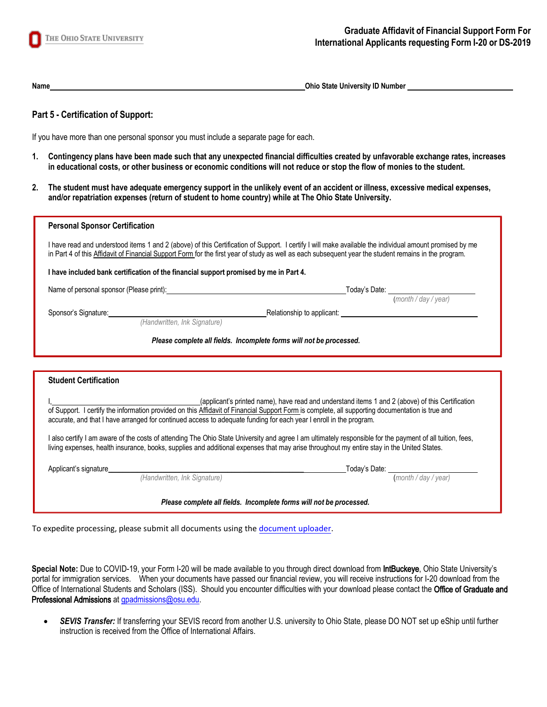

**Name Ohio State University ID Number 2014** 

## **Part 5 - Certification of Support:**

If you have more than one personal sponsor you must include a separate page for each.

- **1. Contingency plans have been made such that any unexpected financial difficulties created by unfavorable exchange rates, increases in educational costs, or other business or economic conditions will not reduce or stop the flow of monies to the student.**
- **2. The student must have adequate emergency support in the unlikely event of an accident or illness, excessive medical expenses, and/or repatriation expenses (return of student to home country) while at The Ohio State University.**

| <b>Personal Sponsor Certification</b>                                                                                                                                                                                                                                                                            |                                                                     |                                                            |
|------------------------------------------------------------------------------------------------------------------------------------------------------------------------------------------------------------------------------------------------------------------------------------------------------------------|---------------------------------------------------------------------|------------------------------------------------------------|
| I have read and understood items 1 and 2 (above) of this Certification of Support. I certify I will make available the individual amount promised by me<br>in Part 4 of this Affidavit of Financial Support Form for the first year of study as well as each subsequent year the student remains in the program. |                                                                     |                                                            |
| I have included bank certification of the financial support promised by me in Part 4.                                                                                                                                                                                                                            |                                                                     |                                                            |
| Name of personal sponsor (Please print): Name of personal sponsor (Please print):                                                                                                                                                                                                                                |                                                                     | Today's Date: ____________________<br>(month / day / year) |
| Sponsor's Signature: example of the state of the state of the state of the state of the state of the state of the state of the state of the state of the state of the state of the state of the state of the state of the stat<br>(Handwritten, Ink Signature)                                                   | Relationship to applicant:                                          |                                                            |
|                                                                                                                                                                                                                                                                                                                  | Please complete all fields. Incomplete forms will not be processed. |                                                            |

|                       |                                                                                                                                                                           | (applicant's printed name), have read and understand items 1 and 2 (above) of this Certification<br>of Support. I certify the information provided on this Affidavit of Financial Support Form is complete, all supporting documentation is true and |
|-----------------------|---------------------------------------------------------------------------------------------------------------------------------------------------------------------------|------------------------------------------------------------------------------------------------------------------------------------------------------------------------------------------------------------------------------------------------------|
|                       | accurate, and that I have arranged for continued access to adequate funding for each year I enroll in the program.                                                        |                                                                                                                                                                                                                                                      |
|                       |                                                                                                                                                                           |                                                                                                                                                                                                                                                      |
| Applicant's signature | living expenses, health insurance, books, supplies and additional expenses that may arise throughout my entire stay in the United States.<br>(Handwritten, Ink Signature) | I also certify I am aware of the costs of attending The Ohio State University and agree I am ultimately responsible for the payment of all tuition, fees,<br>Today's Date:<br>(month / day / year)                                                   |

To expedite processing, please submit all documents using the [document uploader.](https://admissions.osu.edu/secure/docus/)

**Special Note:** Due to COVID-19, your Form I-20 will be made available to you through direct download from IntBuckeye, Ohio State University's portal for immigration services. When your documents have passed our financial review, you will receive instructions for I-20 download from the Office of International Students and Scholars (ISS). Should you encounter difficulties with your download please contact the Office of Graduate and Professional Admissions at gpadmissions@osu.edu.

• *SEVIS Transfer:* If transferring your SEVIS record from another U.S. university to Ohio State, please DO NOT set up eShip until further instruction is received from the Office of International Affairs.